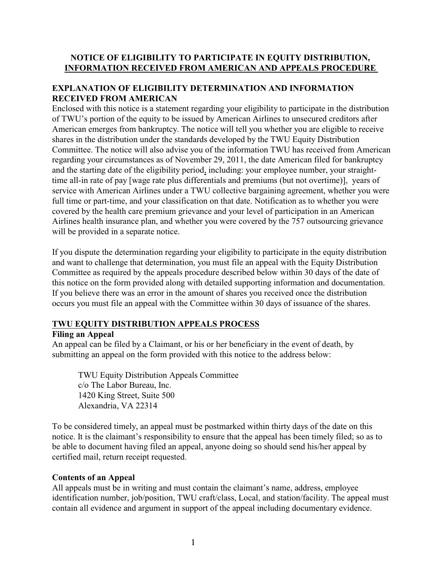## **NOTICE OF ELIGIBILITY TO PARTICIPATE IN EQUITY DISTRIBUTION, INFORMATION RECEIVED FROM AMERICAN AND APPEALS PROCEDURE**

# **EXPLANATION OF ELIGIBILITY DETERMINATION AND INFORMATION RECEIVED FROM AMERICAN**

Enclosed with this notice is a statement regarding your eligibility to participate in the distribution of TWU's portion of the equity to be issued by American Airlines to unsecured creditors after American emerges from bankruptcy. The notice will tell you whether you are eligible to receive shares in the distribution under the standards developed by the TWU Equity Distribution Committee. The notice will also advise you of the information TWU has received from American regarding your circumstances as of November 29, 2011, the date American filed for bankruptcy and the starting date of the eligibility period, including: your employee number, your straighttime all-in rate of pay [wage rate plus differentials and premiums (but not overtime)], years of service with American Airlines under a TWU collective bargaining agreement, whether you were full time or part-time, and your classification on that date. Notification as to whether you were covered by the health care premium grievance and your level of participation in an American Airlines health insurance plan, and whether you were covered by the 757 outsourcing grievance will be provided in a separate notice.

If you dispute the determination regarding your eligibility to participate in the equity distribution and want to challenge that determination, you must file an appeal with the Equity Distribution Committee as required by the appeals procedure described below within 30 days of the date of this notice on the form provided along with detailed supporting information and documentation. If you believe there was an error in the amount of shares you received once the distribution occurs you must file an appeal with the Committee within 30 days of issuance of the shares.

### **TWU EQUITY DISTRIBUTION APPEALS PROCESS**

### **Filing an Appeal**

An appeal can be filed by a Claimant, or his or her beneficiary in the event of death, by submitting an appeal on the form provided with this notice to the address below:

TWU Equity Distribution Appeals Committee c/o The Labor Bureau, Inc. 1420 King Street, Suite 500 Alexandria, VA 22314

To be considered timely, an appeal must be postmarked within thirty days of the date on this notice. It is the claimant's responsibility to ensure that the appeal has been timely filed; so as to be able to document having filed an appeal, anyone doing so should send his/her appeal by certified mail, return receipt requested.

### **Contents of an Appeal**

All appeals must be in writing and must contain the claimant's name, address, employee identification number, job/position, TWU craft/class, Local, and station/facility. The appeal must contain all evidence and argument in support of the appeal including documentary evidence.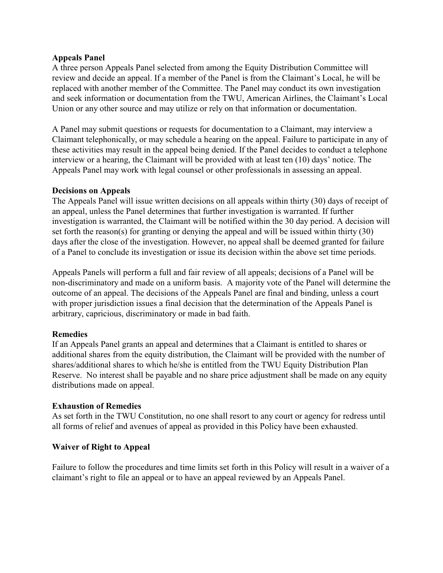### **Appeals Panel**

A three person Appeals Panel selected from among the Equity Distribution Committee will review and decide an appeal. If a member of the Panel is from the Claimant's Local, he will be replaced with another member of the Committee. The Panel may conduct its own investigation and seek information or documentation from the TWU, American Airlines, the Claimant's Local Union or any other source and may utilize or rely on that information or documentation.

A Panel may submit questions or requests for documentation to a Claimant, may interview a Claimant telephonically, or may schedule a hearing on the appeal. Failure to participate in any of these activities may result in the appeal being denied. If the Panel decides to conduct a telephone interview or a hearing, the Claimant will be provided with at least ten (10) days' notice. The Appeals Panel may work with legal counsel or other professionals in assessing an appeal.

### **Decisions on Appeals**

The Appeals Panel will issue written decisions on all appeals within thirty (30) days of receipt of an appeal, unless the Panel determines that further investigation is warranted. If further investigation is warranted, the Claimant will be notified within the 30 day period. A decision will set forth the reason(s) for granting or denying the appeal and will be issued within thirty (30) days after the close of the investigation. However, no appeal shall be deemed granted for failure of a Panel to conclude its investigation or issue its decision within the above set time periods.

Appeals Panels will perform a full and fair review of all appeals; decisions of a Panel will be non-discriminatory and made on a uniform basis. A majority vote of the Panel will determine the outcome of an appeal. The decisions of the Appeals Panel are final and binding, unless a court with proper jurisdiction issues a final decision that the determination of the Appeals Panel is arbitrary, capricious, discriminatory or made in bad faith.

### **Remedies**

If an Appeals Panel grants an appeal and determines that a Claimant is entitled to shares or additional shares from the equity distribution, the Claimant will be provided with the number of shares/additional shares to which he/she is entitled from the TWU Equity Distribution Plan Reserve. No interest shall be payable and no share price adjustment shall be made on any equity distributions made on appeal.

#### **Exhaustion of Remedies**

As set forth in the TWU Constitution, no one shall resort to any court or agency for redress until all forms of relief and avenues of appeal as provided in this Policy have been exhausted.

### **Waiver of Right to Appeal**

Failure to follow the procedures and time limits set forth in this Policy will result in a waiver of a claimant's right to file an appeal or to have an appeal reviewed by an Appeals Panel.